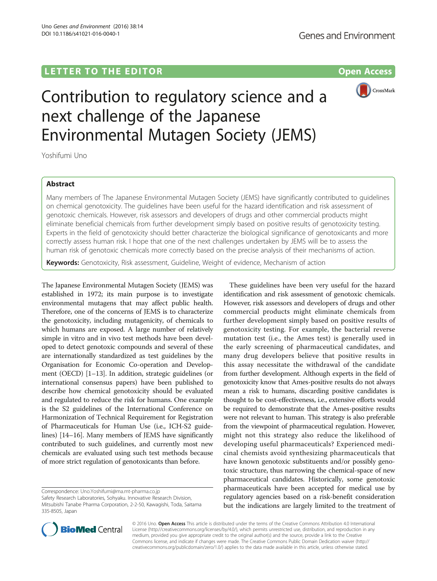## LETTER TO THE EDITOR **CONSIDERING A CONSIDERATION**



# Contribution to regulatory science and a next challenge of the Japanese Environmental Mutagen Society (JEMS)

Yoshifumi Uno

### Abstract

Many members of The Japanese Environmental Mutagen Society (JEMS) have significantly contributed to guidelines on chemical genotoxicity. The guidelines have been useful for the hazard identification and risk assessment of genotoxic chemicals. However, risk assessors and developers of drugs and other commercial products might eliminate beneficial chemicals from further development simply based on positive results of genotoxicity testing. Experts in the field of genotoxicity should better characterize the biological significance of genotoxicants and more correctly assess human risk. I hope that one of the next challenges undertaken by JEMS will be to assess the human risk of genotoxic chemicals more correctly based on the precise analysis of their mechanisms of action.

Keywords: Genotoxicity, Risk assessment, Guideline, Weight of evidence, Mechanism of action

The Japanese Environmental Mutagen Society (JEMS) was established in 1972; its main purpose is to investigate environmental mutagens that may affect public health. Therefore, one of the concerns of JEMS is to characterize the genotoxicity, including mutagenicity, of chemicals to which humans are exposed. A large number of relatively simple in vitro and in vivo test methods have been developed to detect genotoxic compounds and several of these are internationally standardized as test guidelines by the Organisation for Economic Co-operation and Development (OECD) [\[1](#page-2-0)–[13](#page-2-0)]. In addition, strategic guidelines (or international consensus papers) have been published to describe how chemical genotoxicity should be evaluated and regulated to reduce the risk for humans. One example is the S2 guidelines of the International Conference on Harmonization of Technical Requirement for Registration of Pharmaceuticals for Human Use (i.e., ICH-S2 guidelines) [\[14](#page-2-0)–[16](#page-2-0)]. Many members of JEMS have significantly contributed to such guidelines, and currently most new chemicals are evaluated using such test methods because of more strict regulation of genotoxicants than before.

Correspondence: [Uno.Yoshifumi@ma.mt-pharma.co.jp](mailto:Uno.Yoshifumi@ma.mt-pharma.co.jp)

These guidelines have been very useful for the hazard identification and risk assessment of genotoxic chemicals. However, risk assessors and developers of drugs and other commercial products might eliminate chemicals from further development simply based on positive results of genotoxicity testing. For example, the bacterial reverse mutation test (i.e., the Ames test) is generally used in the early screening of pharmaceutical candidates, and many drug developers believe that positive results in this assay necessitate the withdrawal of the candidate from further development. Although experts in the field of genotoxicity know that Ames-positive results do not always mean a risk to humans, discarding positive candidates is thought to be cost-effectiveness, i.e., extensive efforts would be required to demonstrate that the Ames-positive results were not relevant to human. This strategy is also preferable from the viewpoint of pharmaceutical regulation. However, might not this strategy also reduce the likelihood of developing useful pharmaceuticals? Experienced medicinal chemists avoid synthesizing pharmaceuticals that have known genotoxic substituents and/or possibly genotoxic structure, thus narrowing the chemical-space of new pharmaceutical candidates. Historically, some genotoxic pharmaceuticals have been accepted for medical use by regulatory agencies based on a risk-benefit consideration but the indications are largely limited to the treatment of



© 2016 Uno. Open Access This article is distributed under the terms of the Creative Commons Attribution 4.0 International License ([http://creativecommons.org/licenses/by/4.0/\)](http://creativecommons.org/licenses/by/4.0/), which permits unrestricted use, distribution, and reproduction in any medium, provided you give appropriate credit to the original author(s) and the source, provide a link to the Creative Commons license, and indicate if changes were made. The Creative Commons Public Domain Dedication waiver ([http://](http://creativecommons.org/publicdomain/zero/1.0/) [creativecommons.org/publicdomain/zero/1.0/\)](http://creativecommons.org/publicdomain/zero/1.0/) applies to the data made available in this article, unless otherwise stated.

Safety Research Laboratories, Sohyaku. Innovative Research Division, Mitsubishi Tanabe Pharma Corporation, 2-2-50, Kawagishi, Toda, Saitama 335-8505, Japan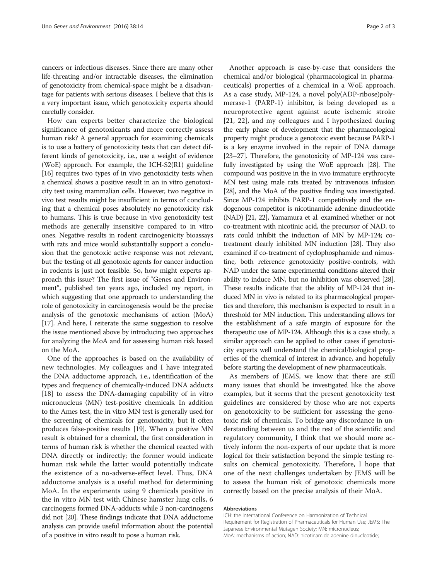cancers or infectious diseases. Since there are many other life-threating and/or intractable diseases, the elimination of genotoxicity from chemical-space might be a disadvantage for patients with serious diseases. I believe that this is a very important issue, which genotoxicity experts should carefully consider.

How can experts better characterize the biological significance of genotoxicants and more correctly assess human risk? A general approach for examining chemicals is to use a battery of genotoxicity tests that can detect different kinds of genotoxicity, i.e., use a weight of evidence (WoE) approach. For example, the ICH-S2(R1) guideline [[16](#page-2-0)] requires two types of in vivo genotoxicity tests when a chemical shows a positive result in an in vitro genotoxicity test using mammalian cells. However, two negative in vivo test results might be insufficient in terms of concluding that a chemical poses absolutely no genotoxicity risk to humans. This is true because in vivo genotoxicity test methods are generally insensitive compared to in vitro ones. Negative results in rodent carcinogenicity bioassays with rats and mice would substantially support a conclusion that the genotoxic active response was not relevant, but the testing of all genotoxic agents for cancer induction in rodents is just not feasible. So, how might experts approach this issue? The first issue of "Genes and Environment", published ten years ago, included my report, in which suggesting that one approach to understanding the role of genotoxicity in carcinogenesis would be the precise analysis of the genotoxic mechanisms of action (MoA) [[17](#page-2-0)]. And here, I reiterate the same suggestion to resolve the issue mentioned above by introducing two approaches for analyzing the MoA and for assessing human risk based on the MoA.

One of the approaches is based on the availability of new technologies. My colleagues and I have integrated the DNA adductome approach, i.e., identification of the types and frequency of chemically-induced DNA adducts [[18\]](#page-2-0) to assess the DNA-damaging capability of in vitro micronucleus (MN) test-positive chemicals. In addition to the Ames test, the in vitro MN test is generally used for the screening of chemicals for genotoxicity, but it often produces false-positive results [[19\]](#page-2-0). When a positive MN result is obtained for a chemical, the first consideration in terms of human risk is whether the chemical reacted with DNA directly or indirectly; the former would indicate human risk while the latter would potentially indicate the existence of a no-adverse-effect level. Thus, DNA adductome analysis is a useful method for determining MoA. In the experiments using 9 chemicals positive in the in vitro MN test with Chinese hamster lung cells, 6 carcinogens formed DNA-adducts while 3 non-carcinogens did not [[20](#page-2-0)]. These findings indicate that DNA adductome analysis can provide useful information about the potential of a positive in vitro result to pose a human risk.

Another approach is case-by-case that considers the chemical and/or biological (pharmacological in pharmaceuticals) properties of a chemical in a WoE approach. As a case study, MP-124, a novel poly(ADP-ribose)polymerase-1 (PARP-1) inhibitor, is being developed as a neuroprotective agent against acute ischemic stroke [[21, 22](#page-2-0)], and my colleagues and I hypothesized during the early phase of development that the pharmacological property might produce a genotoxic event because PARP-1 is a key enzyme involved in the repair of DNA damage [[23](#page-2-0)–[27](#page-2-0)]. Therefore, the genotoxicity of MP-124 was carefully investigated by using the WoE approach [\[28\]](#page-2-0). The compound was positive in the in vivo immature erythrocyte MN test using male rats treated by intravenous infusion [[28](#page-2-0)], and the MoA of the positive finding was investigated. Since MP-124 inhibits PARP-1 competitively and the endogenous competitor is nicotinamide adenine dinucleotide (NAD) [\[21](#page-2-0), [22\]](#page-2-0), Yamamura et al. examined whether or not co-treatment with nicotinic acid, the precursor of NAD, to rats could inhibit the induction of MN by MP-124; cotreatment clearly inhibited MN induction [[28](#page-2-0)]. They also examined if co-treatment of cyclophosphamide and nimustine, both reference genotoxicity positive-controls, with NAD under the same experimental conditions altered their ability to induce MN, but no inhibition was observed [\[28](#page-2-0)]. These results indicate that the ability of MP-124 that induced MN in vivo is related to its pharmacological properties and therefore, this mechanism is expected to result in a threshold for MN induction. This understanding allows for the establishment of a safe margin of exposure for the therapeutic use of MP-124. Although this is a case study, a similar approach can be applied to other cases if genotoxicity experts well understand the chemical/biological properties of the chemical of interest in advance, and hopefully before starting the development of new pharmaceuticals.

As members of JEMS, we know that there are still many issues that should be investigated like the above examples, but it seems that the present genotoxicity test guidelines are considered by those who are not experts on genotoxicity to be sufficient for assessing the genotoxic risk of chemicals. To bridge any discordance in understanding between us and the rest of the scientific and regulatory community, I think that we should more actively inform the non-experts of our update that is more logical for their satisfaction beyond the simple testing results on chemical genotoxicity. Therefore, I hope that one of the next challenges undertaken by JEMS will be to assess the human risk of genotoxic chemicals more correctly based on the precise analysis of their MoA.

#### Abbreviations

ICH: the International Conference on Harmonization of Technical Requirement for Registration of Pharmaceuticals for Human Use; JEMS: The Japanese Environmental Mutagen Society; MN: micronucleus; MoA: mechanisms of action; NAD: nicotinamide adenine dinucleotide;